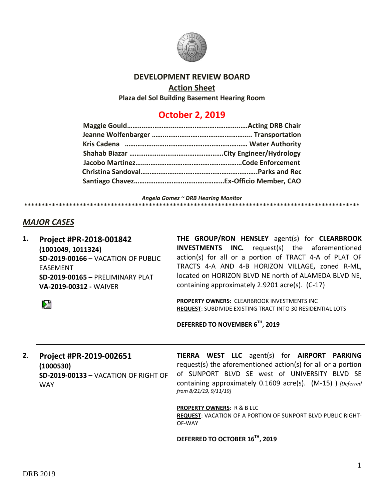

#### **DEVELOPMENT REVIEW BOARD**

#### **Action Sheet**

**Plaza del Sol Building Basement Hearing Room**

# **October 2, 2019**

*Angela Gomez ~ DRB Hearing Monitor*

## *MAJOR CASES*

**1. Project #PR-2018-001842 (1001049, 1011324) SD-2019-00166 –** VACATION OF PUBLIC EASEMENT **SD-2019-00165 –** PRELIMINARY PLAT **VA-2019-00312 -** WAIVER

**THE GROUP/RON HENSLEY** agent(s) for **CLEARBROOK INVESTMENTS INC.** request(s) the aforementioned action(s) for all or a portion of TRACT 4-A of PLAT OF TRACTS 4-A AND 4-B HORIZON VILLAGE**,** zoned R-ML, located on HORIZON BLVD NE north of ALAMEDA BLVD NE, containing approximately 2.9201 acre(s). (C-17)

**PROPERTY OWNERS**: CLEARBROOK INVESTMENTS INC **REQUEST**: SUBDIVIDE EXISTING TRACT INTO 30 RESIDENTIAL LOTS

**DEFERRED TO NOVEMBER 6TH, 2019**

**\*\*\*\*\*\*\*\*\*\*\*\*\*\*\*\*\*\*\*\*\*\*\*\*\*\*\*\*\*\*\*\*\*\*\*\*\*\*\*\*\*\*\*\*\*\*\*\*\*\*\*\*\*\*\*\*\*\*\*\*\*\*\*\*\*\*\*\*\*\*\*\*\*\*\*\*\*\*\*\*\*\*\*\*\*\*\*\*\*\*\*\*\*\*\*\*\***

**2**. **Project #PR-2019-002651 (1000530) SD-2019-00133 –** VACATION OF RIGHT OF WAY

**TIERRA WEST LLC** agent(s) for **AIRPORT PARKING** request(s) the aforementioned action(s) for all or a portion of SUNPORT BLVD SE west of UNIVERSITY BLVD SE containing approximately 0.1609 acre(s). (M-15) ) *[Deferred from 8/21/19, 9/11/19]*

**PROPERTY OWNERS**: R & B LLC

**REQUEST**: VACATION OF A PORTION OF SUNPORT BLVD PUBLIC RIGHT-OF-WAY

**DEFERRED TO OCTOBER 16TH, 2019**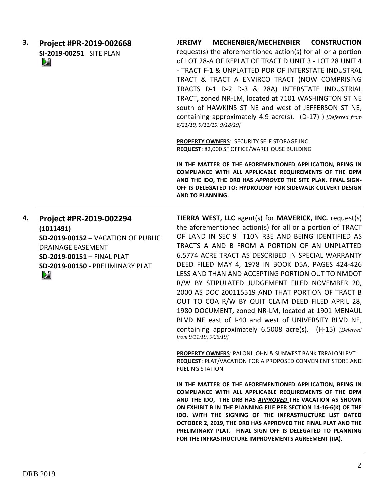| З. | Project #PR-2019-002668   | MECHENBIER/MECHENBIER CONSTRUCTION<br><b>JEREMY</b>                                         |
|----|---------------------------|---------------------------------------------------------------------------------------------|
|    | SI-2019-00251 - SITE PLAN | request(s) the aforementioned action(s) for all or a portion                                |
|    | èì                        | of LOT 28-A OF REPLAT OF TRACT D UNIT 3 - LOT 28 UNIT 4                                     |
|    |                           | - TRACT F-1 & UNPLATTED POR OF INTERSTATE INDUSTRAL                                         |
|    |                           | TRACT & TRACT A ENVIRCO TRACT (NOW COMPRISING                                               |
|    |                           | TRACTS D-1 D-2 D-3 & 28A) INTERSTATE INDUSTRIAL                                             |
|    |                           | TRACT, zoned NR-LM, located at 7101 WASHINGTON ST NE                                        |
|    |                           | south of HAWKINS ST NE and west of JEFFERSON ST NE,                                         |
|    |                           | containing approximately 4.9 acre(s). (D-17) ) [Deferred from<br>8/21/19, 9/11/19, 9/18/19] |
|    |                           | <b>PROPERTY OWNERS: SECURITY SELF STORAGE INC.</b>                                          |
|    |                           | REQUEST: 82,000 SF OFFICE/WAREHOUSE BUILDING                                                |
|    |                           | IN THE MATTER OF THE AFOREMENTIONER ARRIVATION REING IN                                     |

**IN THE MATTER OF THE AFOREMENTIONED APPLICATION, BEING IN COMPLIANCE WITH ALL APPLICABLE REQUIREMENTS OF THE DPM AND THE IDO, THE DRB HAS** *APPROVED* **THE SITE PLAN. FINAL SIGN-OFF IS DELEGATED TO: HYDROLOGY FOR SIDEWALK CULVERT DESIGN AND TO PLANNING.** 

**4. Project #PR-2019-002294 (1011491) SD-2019-00152 –** VACATION OF PUBLIC DRAINAGE EASEMENT **SD-2019-00151 –** FINAL PLAT **SD-2019-00150 -** PRELIMINARY PLAT DÊ

**TIERRA WEST, LLC** agent(s) for **MAVERICK, INC.** request(s) the aforementioned action(s) for all or a portion of TRACT OF LAND IN SEC 9 T10N R3E AND BEING IDENTIFIED AS TRACTS A AND B FROM A PORTION OF AN UNPLATTED 6.5774 ACRE TRACT AS DESCRIBED IN SPECIAL WARRANTY DEED FILED MAY 4, 1978 IN BOOK D5A, PAGES 424-426 LESS AND THAN AND ACCEPTING PORTION OUT TO NMDOT R/W BY STIPULATED JUDGEMENT FILED NOVEMBER 20, 2000 AS DOC 200115519 AND THAT PORTION OF TRACT B OUT TO COA R/W BY QUIT CLAIM DEED FILED APRIL 28, 1980 DOCUMENT**,** zoned NR-LM, located at 1901 MENAUL BLVD NE east of I-40 and west of UNIVERSITY BLVD NE, containing approximately 6.5008 acre(s). (H-15) *[Deferred from 9/11/19, 9/25/19]*

**PROPERTY OWNERS**: PALONI JOHN & SUNWEST BANK TRPALONI RVT **REQUEST**: PLAT/VACATION FOR A PROPOSED CONVENIENT STORE AND FUELING STATION

**IN THE MATTER OF THE AFOREMENTIONED APPLICATION, BEING IN COMPLIANCE WITH ALL APPLICABLE REQUIREMENTS OF THE DPM AND THE IDO, THE DRB HAS** *APPROVED* **THE VACATION AS SHOWN ON EXHIBIT B IN THE PLANNING FILE PER SECTION 14-16-6(K) OF THE IDO. WITH THE SIGNING OF THE INFRASTRUCTURE LIST DATED OCTOBER 2, 2019, THE DRB HAS APPROVED THE FINAL PLAT AND THE PRELIMINARY PLAT. FINAL SIGN OFF IS DELEGATED TO PLANNING FOR THE INFRASTRUCTURE IMPROVEMENTS AGREEMENT (IIA).**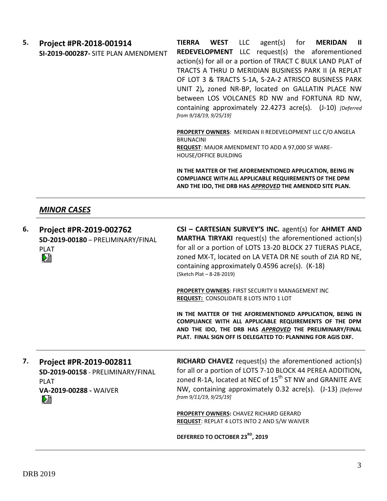**5. Project #PR-2018-001914 SI-2019-000287-** SITE PLAN AMENDMENT

**TIERRA WEST** LLC agent(s) for **MERIDAN II REDEVELOPMENT** LLC request(s) the aforementioned action(s) for all or a portion of TRACT C BULK LAND PLAT of TRACTS A THRU D MERIDIAN BUSINESS PARK II (A REPLAT OF LOT 3 & TRACTS S-1A, S-2A-2 ATRISCO BUSINESS PARK UNIT 2)**,** zoned NR-BP, located on GALLATIN PLACE NW between LOS VOLCANES RD NW and FORTUNA RD NW, containing approximately 22.4273 acre(s). (J-10) *[Deferred from 9/18/19, 9/25/19]*

**PROPERTY OWNERS**: MERIDAN II REDEVELOPMENT LLC C/O ANGELA BRUNACINI **REQUEST**: MAJOR AMENDMENT TO ADD A 97,000 SF WARE-HOUSE/OFFICE BUILDING

**IN THE MATTER OF THE AFOREMENTIONED APPLICATION, BEING IN COMPLIANCE WITH ALL APPLICABLE REQUIREMENTS OF THE DPM AND THE IDO, THE DRB HAS** *APPROVED* **THE AMENDED SITE PLAN.**

# *MINOR CASES*

| 6. | Project #PR-2019-002762<br>SD-2019-00180 - PRELIMINARY/FINAL<br><b>PLAT</b><br>啯                                  | CSI - CARTESIAN SURVEY'S INC. agent(s) for AHMET AND<br><b>MARTHA TIRYAKI</b> request(s) the aforementioned action(s)<br>for all or a portion of LOTS 13-20 BLOCK 27 TIJERAS PLACE,<br>zoned MX-T, located on LA VETA DR NE south of ZIA RD NE,<br>containing approximately 0.4596 acre(s). (K-18)<br>(Sketch Plat - 8-28-2019) |
|----|-------------------------------------------------------------------------------------------------------------------|---------------------------------------------------------------------------------------------------------------------------------------------------------------------------------------------------------------------------------------------------------------------------------------------------------------------------------|
|    |                                                                                                                   | PROPERTY OWNERS: FIRST SECURITY II MANAGEMENT INC<br><b>REQUEST:</b> CONSOLIDATE 8 LOTS INTO 1 LOT                                                                                                                                                                                                                              |
|    |                                                                                                                   | IN THE MATTER OF THE AFOREMENTIONED APPLICATION, BEING IN<br>COMPLIANCE WITH ALL APPLICABLE REQUIREMENTS OF THE DPM<br>AND THE IDO, THE DRB HAS APPROVED THE PRELIMINARY/FINAL<br>PLAT. FINAL SIGN OFF IS DELEGATED TO: PLANNING FOR AGIS DXF.                                                                                  |
| 7. | Project #PR-2019-002811<br>SD-2019-00158 - PRELIMINARY/FINAL<br><b>PLAT</b><br><b>VA-2019-00288 - WAIVER</b><br>⊵ | <b>RICHARD CHAVEZ</b> request(s) the aforementioned action(s)<br>for all or a portion of LOTS 7-10 BLOCK 44 PEREA ADDITION,<br>zoned R-1A, located at NEC of 15 <sup>th</sup> ST NW and GRANITE AVE<br>NW, containing approximately 0.32 acre(s). (J-13) [Deferred<br>from 9/11/19, 9/25/19]                                    |
|    |                                                                                                                   | PROPERTY OWNERS: CHAVEZ RICHARD GERARD<br><b>REQUEST: REPLAT 4 LOTS INTO 2 AND S/W WAIVER</b>                                                                                                                                                                                                                                   |
|    |                                                                                                                   | DEFERRED TO OCTOBER 23 <sup>RD</sup> , 2019                                                                                                                                                                                                                                                                                     |